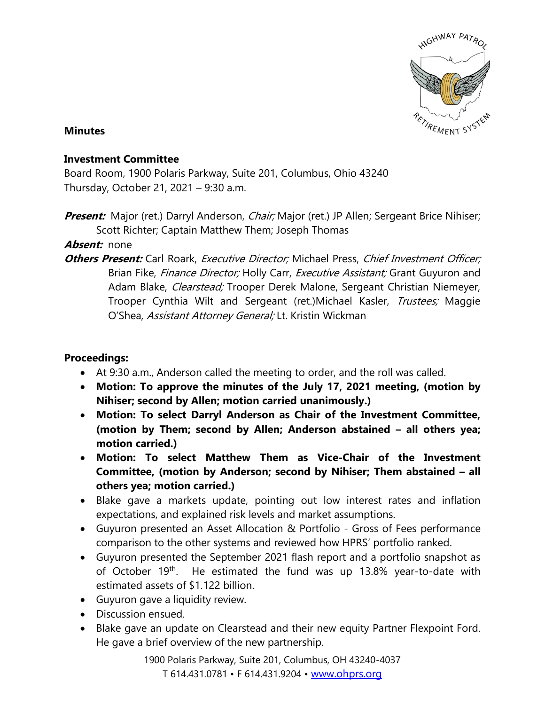

## **Minutes**

## **Investment Committee**

Board Room, 1900 Polaris Parkway, Suite 201, Columbus, Ohio 43240 Thursday, October 21, 2021 – 9:30 a.m.

**Present:** Major (ret.) Darryl Anderson, *Chair;* Major (ret.) JP Allen; Sergeant Brice Nihiser; Scott Richter; Captain Matthew Them; Joseph Thomas

## **Absent:** none

**Others Present:** Carl Roark, *Executive Director;* Michael Press, *Chief Investment Officer;* Brian Fike, Finance Director; Holly Carr, Executive Assistant; Grant Guyuron and Adam Blake, *Clearstead;* Trooper Derek Malone, Sergeant Christian Niemeyer, Trooper Cynthia Wilt and Sergeant (ret.)Michael Kasler, Trustees; Maggie O'Shea, Assistant Attorney General; Lt. Kristin Wickman

## **Proceedings:**

- At 9:30 a.m., Anderson called the meeting to order, and the roll was called.
- **Motion: To approve the minutes of the July 17, 2021 meeting, (motion by Nihiser; second by Allen; motion carried unanimously.)**
- **Motion: To select Darryl Anderson as Chair of the Investment Committee, (motion by Them; second by Allen; Anderson abstained – all others yea; motion carried.)**
- **Motion: To select Matthew Them as Vice-Chair of the Investment Committee, (motion by Anderson; second by Nihiser; Them abstained – all others yea; motion carried.)**
- Blake gave a markets update, pointing out low interest rates and inflation expectations, and explained risk levels and market assumptions.
- Guyuron presented an Asset Allocation & Portfolio Gross of Fees performance comparison to the other systems and reviewed how HPRS' portfolio ranked.
- Guyuron presented the September 2021 flash report and a portfolio snapshot as of October 19<sup>th</sup>. He estimated the fund was up 13.8% year-to-date with estimated assets of \$1.122 billion.
- Guyuron gave a liquidity review.
- Discussion ensued.
- Blake gave an update on Clearstead and their new equity Partner Flexpoint Ford. He gave a brief overview of the new partnership.

1900 Polaris Parkway, Suite 201, Columbus, OH 43240-4037 T 614.431.0781 • F 614.431.9204 • [www.ohprs.org](http://www.ohprs.org/)